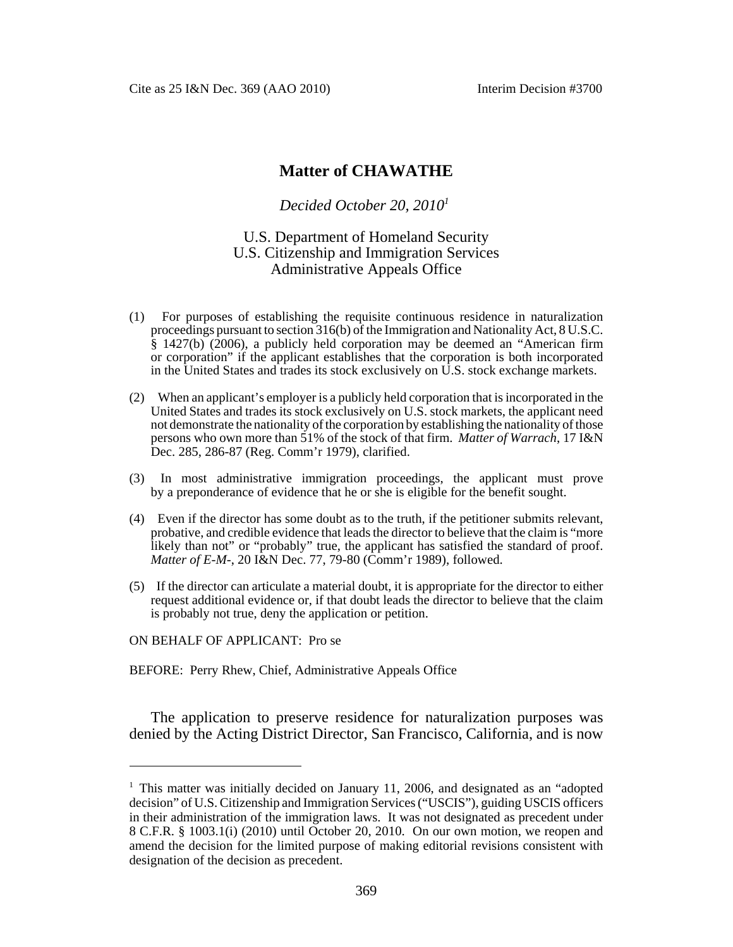Cite as 25 I&N Dec. 369 (AAO 2010) Interim Decision #3700

# **Matter of CHAWATHE**

#### *Decided October 20, 20101*

## U.S. Department of Homeland Security U.S. Citizenship and Immigration Services Administrative Appeals Office

- (1) For purposes of establishing the requisite continuous residence in naturalization proceedings pursuant to section 316(b) of the Immigration and Nationality Act, 8 U.S.C. § 1427(b) (2006), a publicly held corporation may be deemed an "American firm or corporation" if the applicant establishes that the corporation is both incorporated in the United States and trades its stock exclusively on U.S. stock exchange markets.
- (2) When an applicant's employer is a publicly held corporation that is incorporated in the United States and trades its stock exclusively on U.S. stock markets, the applicant need not demonstrate the nationality of the corporation by establishing the nationality of those persons who own more than 51% of the stock of that firm. *Matter of Warrach*, 17 I&N Dec. 285, 286-87 (Reg. Comm'r 1979), clarified.
- (3) In most administrative immigration proceedings, the applicant must prove by a preponderance of evidence that he or she is eligible for the benefit sought.
- (4) Even if the director has some doubt as to the truth, if the petitioner submits relevant, probative, and credible evidence that leads the director to believe that the claim is "more likely than not" or "probably" true, the applicant has satisfied the standard of proof. *Matter of E-M-*, 20 I&N Dec. 77, 79-80 (Comm'r 1989), followed.
- (5) If the director can articulate a material doubt, it is appropriate for the director to either request additional evidence or, if that doubt leads the director to believe that the claim is probably not true, deny the application or petition.

ON BEHALF OF APPLICANT: Pro se

BEFORE: Perry Rhew, Chief, Administrative Appeals Office

The application to preserve residence for naturalization purposes was denied by the Acting District Director, San Francisco, California, and is now

 $1$  This matter was initially decided on January 11, 2006, and designated as an "adopted decision" of U.S. Citizenship and Immigration Services ("USCIS"), guiding USCIS officers in their administration of the immigration laws. It was not designated as precedent under 8 C.F.R. § 1003.1(i) (2010) until October 20, 2010. On our own motion, we reopen and amend the decision for the limited purpose of making editorial revisions consistent with designation of the decision as precedent.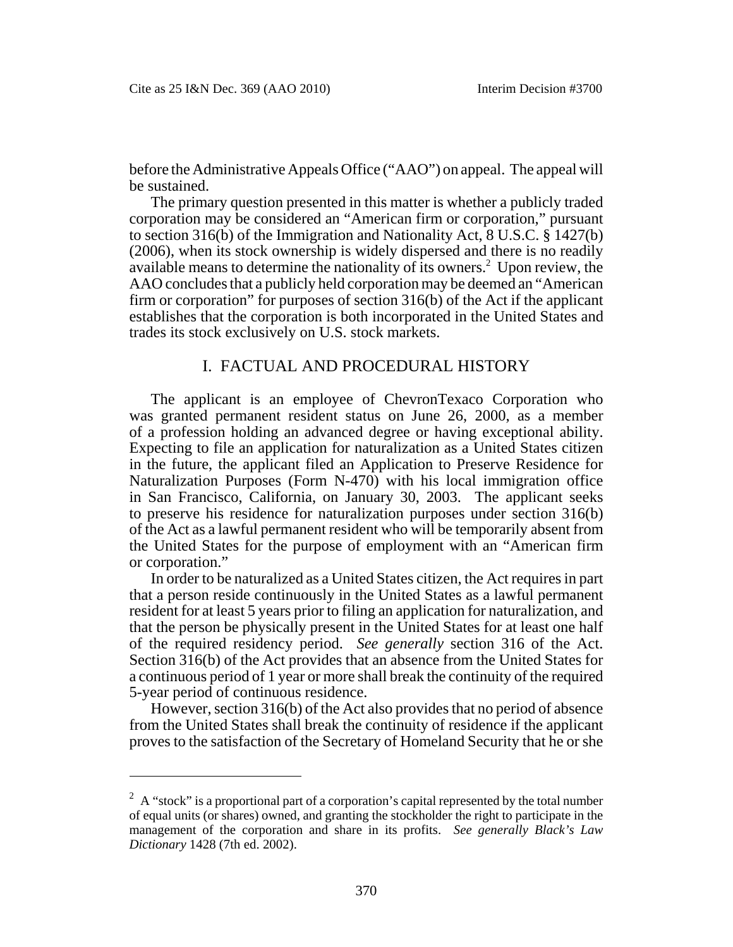before the Administrative Appeals Office ("AAO") on appeal. The appeal will be sustained.

The primary question presented in this matter is whether a publicly traded corporation may be considered an "American firm or corporation," pursuant to section 316(b) of the Immigration and Nationality Act, 8 U.S.C. § 1427(b) (2006), when its stock ownership is widely dispersed and there is no readily available means to determine the nationality of its owners.<sup>2</sup> Upon review, the AAO concludes that a publicly held corporation may be deemed an "American firm or corporation" for purposes of section 316(b) of the Act if the applicant establishes that the corporation is both incorporated in the United States and trades its stock exclusively on U.S. stock markets.

#### I. FACTUAL AND PROCEDURAL HISTORY

The applicant is an employee of ChevronTexaco Corporation who was granted permanent resident status on June 26, 2000, as a member of a profession holding an advanced degree or having exceptional ability. Expecting to file an application for naturalization as a United States citizen in the future, the applicant filed an Application to Preserve Residence for Naturalization Purposes (Form N-470) with his local immigration office in San Francisco, California, on January 30, 2003. The applicant seeks to preserve his residence for naturalization purposes under section 316(b) of the Act as a lawful permanent resident who will be temporarily absent from the United States for the purpose of employment with an "American firm or corporation."

In order to be naturalized as a United States citizen, the Act requires in part that a person reside continuously in the United States as a lawful permanent resident for at least 5 years prior to filing an application for naturalization, and that the person be physically present in the United States for at least one half of the required residency period. *See generally* section 316 of the Act. Section 316(b) of the Act provides that an absence from the United States for a continuous period of 1 year or more shall break the continuity of the required 5-year period of continuous residence.

However, section 316(b) of the Act also provides that no period of absence from the United States shall break the continuity of residence if the applicant proves to the satisfaction of the Secretary of Homeland Security that he or she

 $2^2$  A "stock" is a proportional part of a corporation's capital represented by the total number of equal units (or shares) owned, and granting the stockholder the right to participate in the management of the corporation and share in its profits. *See generally Black's Law Dictionary* 1428 (7th ed. 2002).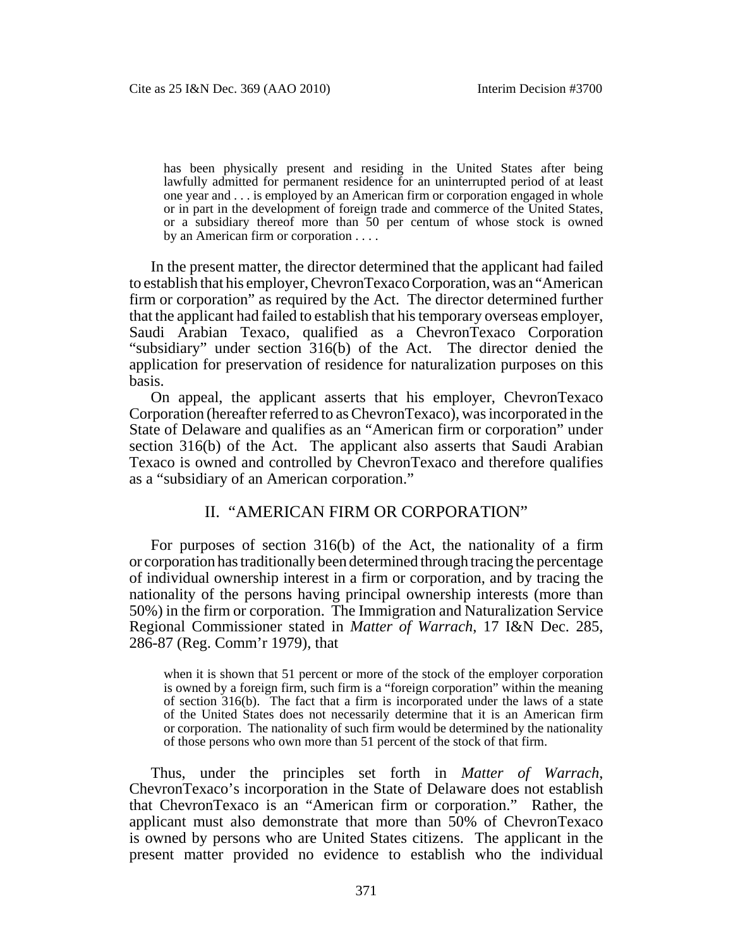has been physically present and residing in the United States after being lawfully admitted for permanent residence for an uninterrupted period of at least one year and . . . is employed by an American firm or corporation engaged in whole or in part in the development of foreign trade and commerce of the United States, or a subsidiary thereof more than 50 per centum of whose stock is owned by an American firm or corporation . . . .

In the present matter, the director determined that the applicant had failed to establish that his employer, ChevronTexaco Corporation, was an "American firm or corporation" as required by the Act. The director determined further that the applicant had failed to establish that his temporary overseas employer, Saudi Arabian Texaco, qualified as a ChevronTexaco Corporation "subsidiary" under section 316(b) of the Act. The director denied the application for preservation of residence for naturalization purposes on this basis.

On appeal, the applicant asserts that his employer, ChevronTexaco Corporation (hereafter referred to as ChevronTexaco), was incorporated in the State of Delaware and qualifies as an "American firm or corporation" under section 316(b) of the Act. The applicant also asserts that Saudi Arabian Texaco is owned and controlled by ChevronTexaco and therefore qualifies as a "subsidiary of an American corporation."

## II. "AMERICAN FIRM OR CORPORATION"

For purposes of section 316(b) of the Act, the nationality of a firm or corporation has traditionally been determined through tracing the percentage of individual ownership interest in a firm or corporation, and by tracing the nationality of the persons having principal ownership interests (more than 50%) in the firm or corporation. The Immigration and Naturalization Service Regional Commissioner stated in *Matter of Warrach*, 17 I&N Dec. 285, 286-87 (Reg. Comm'r 1979), that

when it is shown that 51 percent or more of the stock of the employer corporation is owned by a foreign firm, such firm is a "foreign corporation" within the meaning of section 316(b). The fact that a firm is incorporated under the laws of a state of the United States does not necessarily determine that it is an American firm or corporation. The nationality of such firm would be determined by the nationality of those persons who own more than 51 percent of the stock of that firm.

Thus, under the principles set forth in *Matter of Warrach*, ChevronTexaco's incorporation in the State of Delaware does not establish that ChevronTexaco is an "American firm or corporation." Rather, the applicant must also demonstrate that more than 50% of ChevronTexaco is owned by persons who are United States citizens. The applicant in the present matter provided no evidence to establish who the individual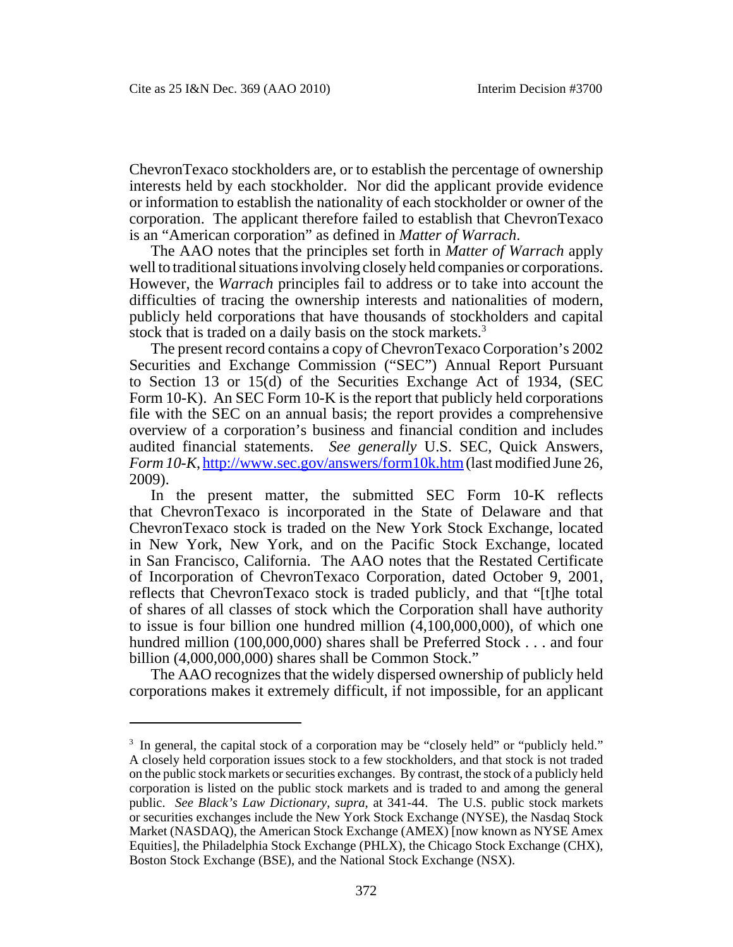ChevronTexaco stockholders are, or to establish the percentage of ownership interests held by each stockholder. Nor did the applicant provide evidence or information to establish the nationality of each stockholder or owner of the corporation. The applicant therefore failed to establish that ChevronTexaco is an "American corporation" as defined in *Matter of Warrach*.

The AAO notes that the principles set forth in *Matter of Warrach* apply well to traditional situations involving closely held companies or corporations. However, the *Warrach* principles fail to address or to take into account the difficulties of tracing the ownership interests and nationalities of modern, publicly held corporations that have thousands of stockholders and capital stock that is traded on a daily basis on the stock markets.<sup>3</sup>

The present record contains a copy of ChevronTexaco Corporation's 2002 Securities and Exchange Commission ("SEC") Annual Report Pursuant to Section 13 or 15(d) of the Securities Exchange Act of 1934, (SEC Form 10-K). An SEC Form 10-K is the report that publicly held corporations file with the SEC on an annual basis; the report provides a comprehensive overview of a corporation's business and financial condition and includes audited financial statements. *See generally* U.S. SEC, Quick Answers, *Form 10-K*, http://www.sec.gov/answers/form10k.htm (last modified June 26, 2009).

In the present matter, the submitted SEC Form 10-K reflects that ChevronTexaco is incorporated in the State of Delaware and that ChevronTexaco stock is traded on the New York Stock Exchange, located in New York, New York, and on the Pacific Stock Exchange, located in San Francisco, California. The AAO notes that the Restated Certificate of Incorporation of ChevronTexaco Corporation, dated October 9, 2001, reflects that ChevronTexaco stock is traded publicly, and that "[t]he total of shares of all classes of stock which the Corporation shall have authority to issue is four billion one hundred million (4,100,000,000), of which one hundred million (100,000,000) shares shall be Preferred Stock . . . and four billion (4,000,000,000) shares shall be Common Stock."

The AAO recognizes that the widely dispersed ownership of publicly held corporations makes it extremely difficult, if not impossible, for an applicant

<sup>&</sup>lt;sup>3</sup> In general, the capital stock of a corporation may be "closely held" or "publicly held." A closely held corporation issues stock to a few stockholders, and that stock is not traded on the public stock markets or securities exchanges. By contrast, the stock of a publicly held corporation is listed on the public stock markets and is traded to and among the general public. *See Black's Law Dictionary*, *supra*, at 341-44. The U.S. public stock markets or securities exchanges include the New York Stock Exchange (NYSE), the Nasdaq Stock Market (NASDAQ), the American Stock Exchange (AMEX) [now known as NYSE Amex Equities], the Philadelphia Stock Exchange (PHLX), the Chicago Stock Exchange (CHX), Boston Stock Exchange (BSE), and the National Stock Exchange (NSX).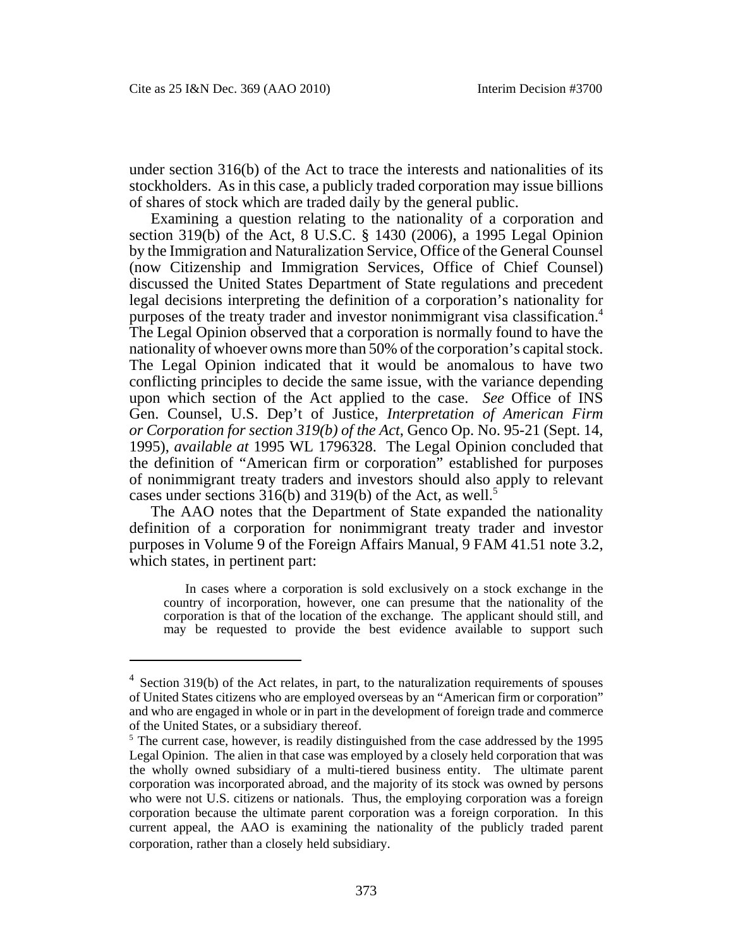under section 316(b) of the Act to trace the interests and nationalities of its stockholders. As in this case, a publicly traded corporation may issue billions of shares of stock which are traded daily by the general public.

Examining a question relating to the nationality of a corporation and section 319(b) of the Act, 8 U.S.C. § 1430 (2006), a 1995 Legal Opinion by the Immigration and Naturalization Service, Office of the General Counsel (now Citizenship and Immigration Services, Office of Chief Counsel) discussed the United States Department of State regulations and precedent legal decisions interpreting the definition of a corporation's nationality for purposes of the treaty trader and investor nonimmigrant visa classification.4 The Legal Opinion observed that a corporation is normally found to have the nationality of whoever owns more than 50% of the corporation's capital stock. The Legal Opinion indicated that it would be anomalous to have two conflicting principles to decide the same issue, with the variance depending upon which section of the Act applied to the case. *See* Office of INS Gen. Counsel, U.S. Dep't of Justice, *Interpretation of American Firm or Corporation for section 319(b) of the Act*, Genco Op. No. 95-21 (Sept. 14, 1995), *available at* 1995 WL 1796328. The Legal Opinion concluded that the definition of "American firm or corporation" established for purposes of nonimmigrant treaty traders and investors should also apply to relevant cases under sections  $316(b)$  and  $319(b)$  of the Act, as well.<sup>5</sup>

The AAO notes that the Department of State expanded the nationality definition of a corporation for nonimmigrant treaty trader and investor purposes in Volume 9 of the Foreign Affairs Manual, 9 FAM 41.51 note 3.2, which states, in pertinent part:

In cases where a corporation is sold exclusively on a stock exchange in the country of incorporation, however, one can presume that the nationality of the corporation is that of the location of the exchange. The applicant should still, and may be requested to provide the best evidence available to support such

 $4$  Section 319(b) of the Act relates, in part, to the naturalization requirements of spouses of United States citizens who are employed overseas by an "American firm or corporation" and who are engaged in whole or in part in the development of foreign trade and commerce of the United States, or a subsidiary thereof.

<sup>&</sup>lt;sup>5</sup> The current case, however, is readily distinguished from the case addressed by the 1995 Legal Opinion. The alien in that case was employed by a closely held corporation that was the wholly owned subsidiary of a multi-tiered business entity. The ultimate parent corporation was incorporated abroad, and the majority of its stock was owned by persons who were not U.S. citizens or nationals. Thus, the employing corporation was a foreign corporation because the ultimate parent corporation was a foreign corporation. In this current appeal, the AAO is examining the nationality of the publicly traded parent corporation, rather than a closely held subsidiary.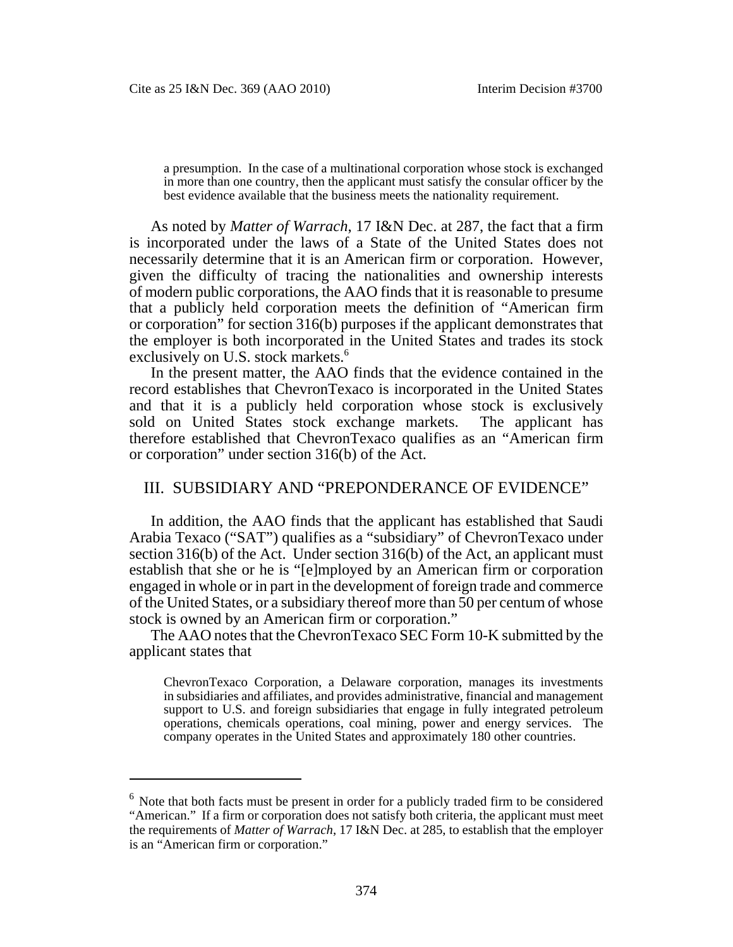a presumption. In the case of a multinational corporation whose stock is exchanged in more than one country, then the applicant must satisfy the consular officer by the best evidence available that the business meets the nationality requirement.

As noted by *Matter of Warrach*, 17 I&N Dec. at 287, the fact that a firm is incorporated under the laws of a State of the United States does not necessarily determine that it is an American firm or corporation. However, given the difficulty of tracing the nationalities and ownership interests of modern public corporations, the AAO finds that it is reasonable to presume that a publicly held corporation meets the definition of "American firm or corporation" for section 316(b) purposes if the applicant demonstrates that the employer is both incorporated in the United States and trades its stock exclusively on U.S. stock markets.<sup>6</sup>

In the present matter, the AAO finds that the evidence contained in the record establishes that ChevronTexaco is incorporated in the United States and that it is a publicly held corporation whose stock is exclusively sold on United States stock exchange markets. The applicant has therefore established that ChevronTexaco qualifies as an "American firm or corporation" under section 316(b) of the Act.

## III. SUBSIDIARY AND "PREPONDERANCE OF EVIDENCE"

In addition, the AAO finds that the applicant has established that Saudi Arabia Texaco ("SAT") qualifies as a "subsidiary" of ChevronTexaco under section 316(b) of the Act. Under section 316(b) of the Act, an applicant must establish that she or he is "[e]mployed by an American firm or corporation engaged in whole or in part in the development of foreign trade and commerce of the United States, or a subsidiary thereof more than 50 per centum of whose stock is owned by an American firm or corporation."

The AAO notes that the ChevronTexaco SEC Form 10-K submitted by the applicant states that

ChevronTexaco Corporation, a Delaware corporation, manages its investments in subsidiaries and affiliates, and provides administrative, financial and management support to U.S. and foreign subsidiaries that engage in fully integrated petroleum operations, chemicals operations, coal mining, power and energy services. The company operates in the United States and approximately 180 other countries.

 $6$  Note that both facts must be present in order for a publicly traded firm to be considered "American." If a firm or corporation does not satisfy both criteria, the applicant must meet the requirements of *Matter of Warrach*, 17 I&N Dec. at 285, to establish that the employer is an "American firm or corporation."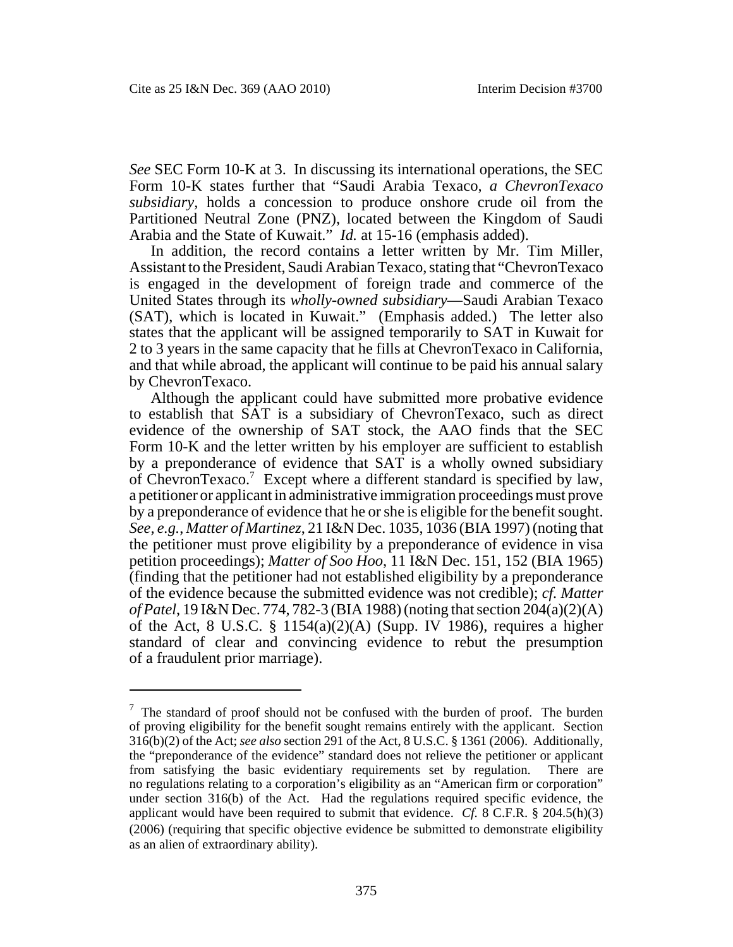*See* SEC Form 10-K at 3. In discussing its international operations, the SEC Form 10-K states further that "Saudi Arabia Texaco, *a ChevronTexaco subsidiary*, holds a concession to produce onshore crude oil from the Partitioned Neutral Zone (PNZ), located between the Kingdom of Saudi Arabia and the State of Kuwait." *Id.* at 15-16 (emphasis added).

In addition, the record contains a letter written by Mr. Tim Miller, Assistant to the President, Saudi Arabian Texaco, stating that "ChevronTexaco is engaged in the development of foreign trade and commerce of the United States through its *wholly-owned subsidiary*—Saudi Arabian Texaco (SAT), which is located in Kuwait." (Emphasis added.) The letter also states that the applicant will be assigned temporarily to SAT in Kuwait for 2 to 3 years in the same capacity that he fills at ChevronTexaco in California, and that while abroad, the applicant will continue to be paid his annual salary by ChevronTexaco.

Although the applicant could have submitted more probative evidence to establish that SAT is a subsidiary of ChevronTexaco, such as direct evidence of the ownership of SAT stock, the AAO finds that the SEC Form 10-K and the letter written by his employer are sufficient to establish by a preponderance of evidence that SAT is a wholly owned subsidiary of ChevronTexaco.<sup>7</sup> Except where a different standard is specified by law, a petitioner or applicant in administrative immigration proceedings must prove by a preponderance of evidence that he or she is eligible for the benefit sought. *See, e.g.*, *Matter of Martinez*, 21 I&N Dec. 1035, 1036 (BIA 1997) (noting that the petitioner must prove eligibility by a preponderance of evidence in visa petition proceedings); *Matter of Soo Hoo*, 11 I&N Dec. 151, 152 (BIA 1965) (finding that the petitioner had not established eligibility by a preponderance of the evidence because the submitted evidence was not credible); *cf. Matter of Patel*, 19 I&N Dec. 774, 782-3 (BIA 1988) (noting that section 204(a)(2)(A) of the Act, 8 U.S.C.  $\S$  1154(a)(2)(A) (Supp. IV 1986), requires a higher standard of clear and convincing evidence to rebut the presumption of a fraudulent prior marriage).

 $7$  The standard of proof should not be confused with the burden of proof. The burden of proving eligibility for the benefit sought remains entirely with the applicant. Section 316(b)(2) of the Act; *see also* section 291 of the Act, 8 U.S.C. § 1361 (2006). Additionally, the "preponderance of the evidence" standard does not relieve the petitioner or applicant from satisfying the basic evidentiary requirements set by regulation. There are no regulations relating to a corporation's eligibility as an "American firm or corporation" under section 316(b) of the Act. Had the regulations required specific evidence, the applicant would have been required to submit that evidence. *Cf.* 8 C.F.R. § 204.5(h)(3) (2006) (requiring that specific objective evidence be submitted to demonstrate eligibility as an alien of extraordinary ability).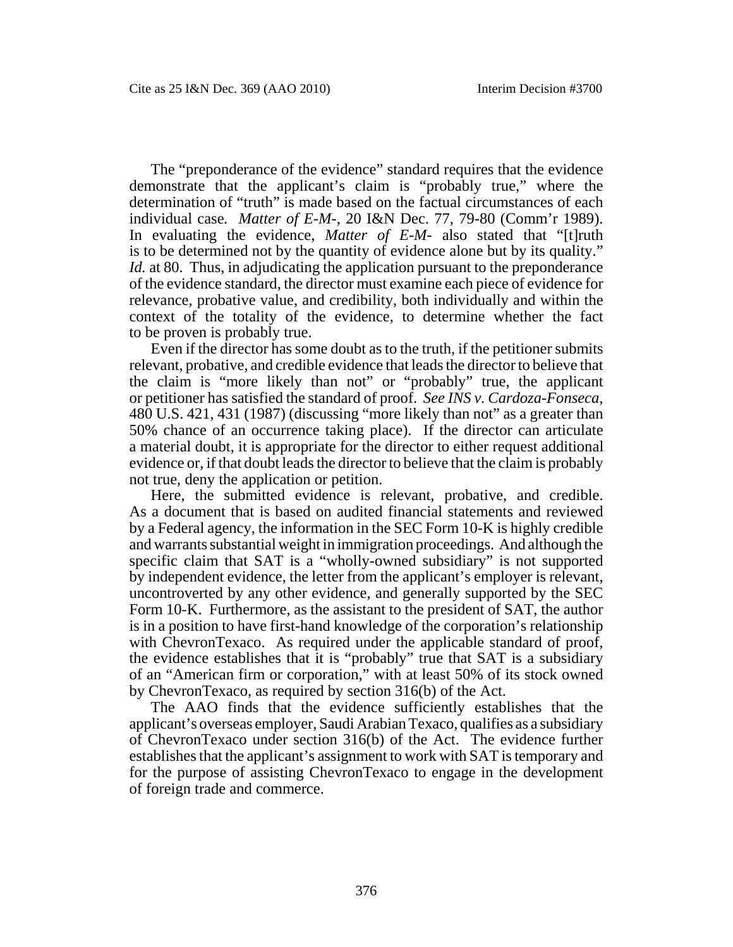The "preponderance of the evidence" standard requires that the evidence demonstrate that the applicant's claim is "probably true," where the determination of "truth" is made based on the factual circumstances of each individual case*. Matter of E-M-*, 20 I&N Dec. 77, 79-80 (Comm'r 1989). In evaluating the evidence, *Matter of E-M-* also stated that "[t]ruth is to be determined not by the quantity of evidence alone but by its quality." *Id.* at 80. Thus, in adjudicating the application pursuant to the preponderance of the evidence standard, the director must examine each piece of evidence for relevance, probative value, and credibility, both individually and within the context of the totality of the evidence, to determine whether the fact to be proven is probably true.

Even if the director has some doubt as to the truth, if the petitioner submits relevant, probative, and credible evidence that leads the director to believe that the claim is "more likely than not" or "probably" true, the applicant or petitioner has satisfied the standard of proof. *See INS v. Cardoza-Fonseca*, 480 U.S. 421, 431 (1987) (discussing "more likely than not" as a greater than 50% chance of an occurrence taking place). If the director can articulate a material doubt, it is appropriate for the director to either request additional evidence or, if that doubt leads the director to believe that the claim is probably not true, deny the application or petition.

Here, the submitted evidence is relevant, probative, and credible. As a document that is based on audited financial statements and reviewed by a Federal agency, the information in the SEC Form 10-K is highly credible and warrants substantial weight in immigration proceedings. And although the specific claim that SAT is a "wholly-owned subsidiary" is not supported by independent evidence, the letter from the applicant's employer is relevant, uncontroverted by any other evidence, and generally supported by the SEC Form 10-K. Furthermore, as the assistant to the president of SAT, the author is in a position to have first-hand knowledge of the corporation's relationship with ChevronTexaco. As required under the applicable standard of proof, the evidence establishes that it is "probably" true that SAT is a subsidiary of an "American firm or corporation," with at least 50% of its stock owned by ChevronTexaco, as required by section 316(b) of the Act.

The AAO finds that the evidence sufficiently establishes that the applicant's overseas employer, Saudi Arabian Texaco, qualifies as a subsidiary of ChevronTexaco under section 316(b) of the Act. The evidence further establishes that the applicant's assignment to work with SAT is temporary and for the purpose of assisting ChevronTexaco to engage in the development of foreign trade and commerce.